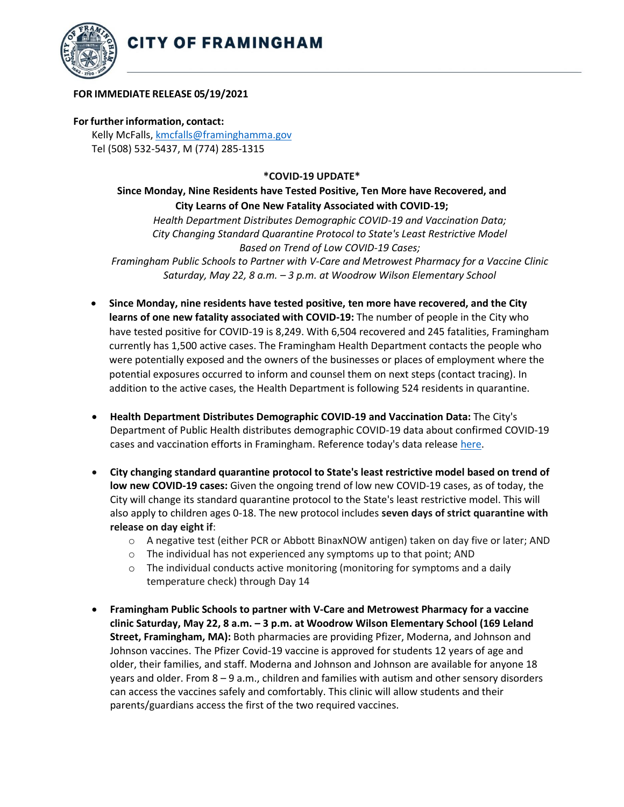



### **FOR IMMEDIATE RELEASE 05/19/2021**

#### **For further information, contact:**

Kelly McFalls[, kmcfalls@framinghamma.gov](mailto:kmcfalls@framinghamma.gov) Tel (508) 532-5437, M (774) 285-1315

### **\*COVID-19 UPDATE\***

## **Since Monday, Nine Residents have Tested Positive, Ten More have Recovered, and City Learns of One New Fatality Associated with COVID-19;**

*Health Department Distributes Demographic COVID-19 and Vaccination Data; City Changing Standard Quarantine Protocol to State's Least Restrictive Model Based on Trend of Low COVID-19 Cases;*

*Framingham Public Schools to Partner with V-Care and Metrowest Pharmacy for a Vaccine Clinic Saturday, May 22, 8 a.m. – 3 p.m. at Woodrow Wilson Elementary School*

- **Since Monday, nine residents have tested positive, ten more have recovered, and the City learns of one new fatality associated with COVID-19:** The number of people in the City who have tested positive for COVID-19 is 8,249. With 6,504 recovered and 245 fatalities, Framingham currently has 1,500 active cases. The Framingham Health Department contacts the people who were potentially exposed and the owners of the businesses or places of employment where the potential exposures occurred to inform and counsel them on next steps (contact tracing). In addition to the active cases, the Health Department is following 524 residents in quarantine.
- **Health Department Distributes Demographic COVID-19 and Vaccination Data:** The City's Department of Public Health distributes demographic COVID-19 data about confirmed COVID-19 cases and vaccination efforts in Framingham. Reference today's data release [here.](https://www.framinghamma.gov/DocumentCenter/View/42137/COVID-19-Data-051921-FINAL)
- **City changing standard quarantine protocol to State's least restrictive model based on trend of low new COVID-19 cases:** Given the ongoing trend of low new COVID-19 cases, as of today, the City will change its standard quarantine protocol to the State's least restrictive model. This will also apply to children ages 0-18. The new protocol includes **seven days of strict quarantine with release on day eight if**:
	- o A negative test (either PCR or Abbott BinaxNOW antigen) taken on day five or later; AND
	- o The individual has not experienced any symptoms up to that point; AND
	- $\circ$  The individual conducts active monitoring (monitoring for symptoms and a daily temperature check) through Day 14
- **Framingham Public Schools to partner with V-Care and Metrowest Pharmacy for a vaccine clinic Saturday, May 22, 8 a.m. – 3 p.m. at Woodrow Wilson Elementary School (169 Leland Street, Framingham, MA):** Both pharmacies are providing Pfizer, Moderna, and Johnson and Johnson vaccines. The Pfizer Covid-19 vaccine is approved for students 12 years of age and older, their families, and staff. Moderna and Johnson and Johnson are available for anyone 18 years and older. From 8 – 9 a.m., children and families with autism and other sensory disorders can access the vaccines safely and comfortably. This clinic will allow students and their parents/guardians access the first of the two required vaccines.